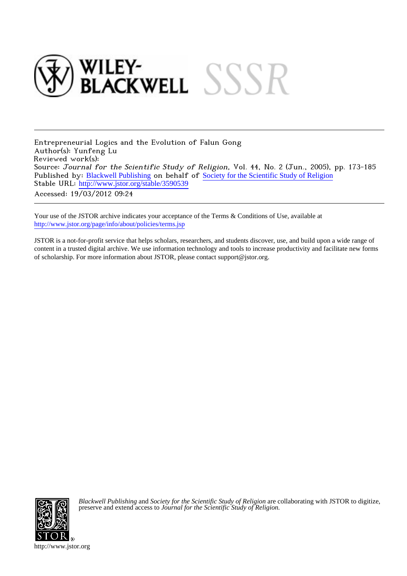

Entrepreneurial Logics and the Evolution of Falun Gong Author(s): Yunfeng Lu Reviewed work(s): Source: Journal for the Scientific Study of Religion, Vol. 44, No. 2 (Jun., 2005), pp. 173-185 Published by: [Blackwell Publishing](http://www.jstor.org/action/showPublisher?publisherCode=black) on behalf of [Society for the Scientific Study of Religion](http://www.jstor.org/action/showPublisher?publisherCode=sssr) Stable URL: [http://www.jstor.org/stable/3590539](http://www.jstor.org/stable/3590539?origin=JSTOR-pdf) Accessed: 19/03/2012 09:24

Your use of the JSTOR archive indicates your acceptance of the Terms & Conditions of Use, available at <http://www.jstor.org/page/info/about/policies/terms.jsp>

JSTOR is a not-for-profit service that helps scholars, researchers, and students discover, use, and build upon a wide range of content in a trusted digital archive. We use information technology and tools to increase productivity and facilitate new forms of scholarship. For more information about JSTOR, please contact support@jstor.org.



*Blackwell Publishing* and *Society for the Scientific Study of Religion* are collaborating with JSTOR to digitize, preserve and extend access to *Journal for the Scientific Study of Religion.*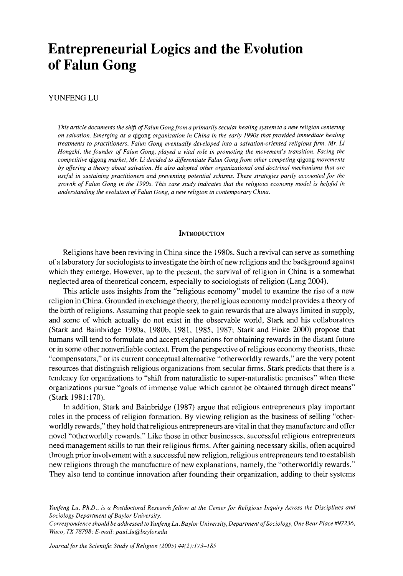# **Entrepreneurial Logics and the Evolution of Falun Gong**

**YUNFENG LU** 

**This article documents the shift of Falun Gong from a primarily secular healing system to a new religion centering on salvation. Emerging as a qigong organization in China in the early 1990s that provided immediate healing treatments to practitioners, Falun Gong eventually developed into a salvation-oriented religious firm. Mr. Li Hongzhi, the founder of Falun Gong, played a vital role in promoting the movement's transition. Facing the competitive qigong market, Mr. Li decided to differentiate Falun Gong from other competing qigong movements by offering a theory about salvation. He also adopted other organizational and doctrinal mechanisms that are useful in sustaining practitioners and preventing potential schisms. These strategies partly accounted for the growth of Falun Gong in the 1990s. This case study indicates that the religious economy model is helpful in understanding the evolution of Falun Gong, a new religion in contemporary China.** 

#### **INTRODUCTION**

**Religions have been reviving in China since the 1980s. Such a revival can serve as something of a laboratory for sociologists to investigate the birth of new religions and the background against which they emerge. However, up to the present, the survival of religion in China is a somewhat neglected area of theoretical concern, especially to sociologists of religion (Lang 2004).** 

**This article uses insights from the "religious economy" model to examine the rise of a new religion in China. Grounded in exchange theory, the religious economy model provides a theory of the birth of religions. Assuming that people seek to gain rewards that are always limited in supply, and some of which actually do not exist in the observable world, Stark and his collaborators (Stark and Bainbridge 1980a, 1980b, 1981, 1985, 1987; Stark and Finke 2000) propose that humans will tend to formulate and accept explanations for obtaining rewards in the distant future or in some other nonverifiable context. From the perspective of religious economy theorists, these "compensators," or its current conceptual alternative "otherworldly rewards," are the very potent resources that distinguish religious organizations from secular firms. Stark predicts that there is a tendency for organizations to "shift from naturalistic to super-naturalistic premises" when these organizations pursue "goals of immense value which cannot be obtained through direct means" (Stark 1981:170).** 

**In addition, Stark and Bainbridge (1987) argue that religious entrepreneurs play important roles in the process of religion formation. By viewing religion as the business of selling "otherworldly rewards," they hold that religious entrepreneurs are vital in that they manufacture and offer novel "otherworldly rewards." Like those in other businesses, successful religious entrepreneurs need management skills to run their religious firms. After gaining necessary skills, often acquired through prior involvement with a successful new religion, religious entrepreneurs tend to establish new religions through the manufacture of new explanations, namely, the "otherworldly rewards." They also tend to continue innovation after founding their organization, adding to their systems** 

Yunfeng Lu, Ph.D., is a Postdoctoral Research fellow at the Center for Religious Inquiry Across the Disciplines and **Sociology Department of Baylor University.** 

**Correspondence should be addressed to Yunfeng Lu, Baylor University, Department of Sociology, One Bear Place #97236, Waco, TX 78798; E-mail: paul\_lu@baylor.edu**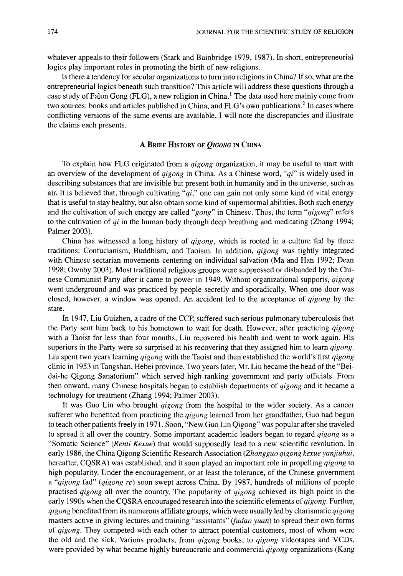**whatever appeals to their followers (Stark and Bainbridge 1979, 1987). In short, entrepreneurial logics play important roles in promoting the birth of new religions.** 

**Is there a tendency for secular organizations to turn into religions in China? If so, what are the entrepreneurial logics beneath such transition? This article will address these questions through a case study of Falun Gong (FLG), a new religion in China.1 The data used here mainly come from two sources: books and articles published in China, and FLG's own publications.2 In cases where conflicting versions of the same events are available, I will note the discrepancies and illustrate the claims each presents.** 

#### **A BRIEF HISTORY OF QIGONG IN CHINA**

**To explain how FLG originated from a qigong organization, it may be useful to start with an overview of the development of qigong in China. As a Chinese word, "qi" is widely used in describing substances that are invisible but present both in humanity and in the universe, such as air. It is believed that, through cultivating "qi," one can gain not only some kind of vital energy that is useful to stay healthy, but also obtain some kind of supernormal abilities. Both such energy and the cultivation of such energy are called "gong" in Chinese. Thus, the term "qigong" refers to the cultivation of qi in the human body through deep breathing and meditating (Zhang 1994; Palmer 2003).** 

**China has witnessed a long history of qigong, which is rooted in a culture fed by three traditions: Confucianism, Buddhism, and Taoism. In addition, qigong was tightly integrated with Chinese sectarian movements centering on individual salvation (Ma and Han 1992; Dean 1998; Ownby 2003). Most traditional religious groups were suppressed or disbanded by the Chinese Communist Party after it came to power in 1949. Without organizational supports, qigong went underground and was practiced by people secretly and sporadically. When one door was closed, however, a window was opened. An accident led to the acceptance of qigong by the state.** 

**In 1947, Liu Guizhen, a cadre of the CCP, suffered such serious pulmonary tuberculosis that the Party sent him back to his hometown to wait for death. However, after practicing qigong with a Taoist for less than four months, Liu recovered his health and went to work again. His superiors in the Party were so surprised at his recovering that they assigned him to learn qigong. Liu spent two years learning qigong with the Taoist and then established the world's first qigong clinic in 1953 in Tangshan, Hebei province. Two years later, Mr. Liu became the head of the "Beidai-he Qigong Sanatorium" which served high-ranking government and party officials. From then onward, many Chinese hospitals began to establish departments of qigong and it became a technology for treatment (Zhang 1994; Palmer 2003).** 

**It was Guo Lin who brought qigong from the hospital to the wider society. As a cancer sufferer who benefited from practicing the qigong learned from her grandfather, Guo had begun to teach other patients freely in 1971. Soon, "New Guo Lin Qigong" was popular after she traveled to spread it all over the country. Some important academic leaders began to regard qigong as a "Somatic Science" (Renti Kexue) that would supposedly lead to a new scientific revolution. In early 1986, the China Qigong Scientific Research Association (Zhongguo qigong kexue yanjiuhui, hereafter, CQSRA) was established, and it soon played an important role in propelling qigong to high popularity. Under the encouragement, or at least the tolerance, of the Chinese government a "qigong fad" (qigong re) soon swept across China. By 1987, hundreds of millions of people practised qigong all over the country. The popularity of qigong achieved its high point in the early 1990s when the CQSRA encouraged research into the scientific elements of qigong. Further, qigong benefited from its numerous affiliate groups, which were usually led by charismatic qigong masters active in giving lectures and training "assistants" (fudao yuan) to spread their own forms of qigong. They competed with each other to attract potential customers, most of whom were the old and the sick. Various products, from qigong books, to qigong videotapes and VCDs, were provided by what became highly bureaucratic and commercial qigong organizations (Kang**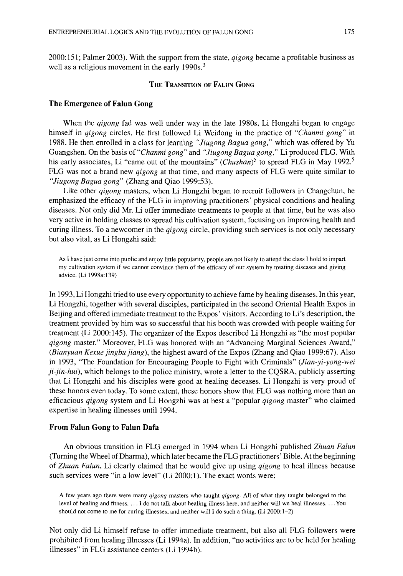**2000:151; Palmer 2003). With the support from the state, qigong became a profitable business as well as a religious movement in the early 1990s.3** 

## **THE TRANSITION OF FALUN GONG**

#### **The Emergence of Falun Gong**

**When the qigong fad was well under way in the late 1980s, Li Hongzhi began to engage himself in qigong circles. He first followed Li Weidong in the practice of "Chanmi gong" in 1988. He then enrolled in a class for learning "Jiugong Bagua gong," which was offered by Yu Guangshen. On the basis of "Chanmi gong" and "Jiugong Bagua gong," Li produced FLG. With**  his early associates, Li "came out of the mountains" (Chushan)<sup>5</sup> to spread FLG in May 1992.<sup>5</sup> **FLG was not a brand new qigong at that time, and many aspects of FLG were quite similar to "Jiugong Bagua gong" (Zhang and Qiao 1999:53).** 

Like other *qigong* masters, when Li Hongzhi began to recruit followers in Changchun, he **emphasized the efficacy of the FLG in improving practitioners' physical conditions and healing diseases. Not only did Mr. Li offer immediate treatments to people at that time, but he was also very active in holding classes to spread his cultivation system, focusing on improving health and curing illness. To a newcomer in the qigong circle, providing such services is not only necessary but also vital, as Li Hongzhi said:** 

**As I have just come into public and enjoy little popularity, people are not likely to attend the class I hold to impart my cultivation system if we cannot convince them of the efficacy of our system by treating diseases and giving advice. (Li 1998a:139)** 

**In 1993, Li Hongzhi tried to use every opportunity to achieve fame by healing diseases. In this year, Li Hongzhi, together with several disciples, participated in the second Oriental Health Expos in Beijing and offered immediate treatment to the Expos' visitors. According to Li's description, the treatment provided by him was so successful that his booth was crowded with people waiting for treatment (Li 2000:145). The organizer of the Expos described Li Hongzhi as "the most popular qigong master." Moreover, FLG was honored with an "Advancing Marginal Sciences Award," (Bianyuan Kexue jingbu jiang), the highest award of the Expos (Zhang and Qiao 1999:67). Also in 1993, "The Foundation for Encouraging People to Fight with Criminals" (Jian-yi-yong-wei ji-jin-hui), which belongs to the police ministry, wrote a letter to the CQSRA, publicly asserting that Li Hongzhi and his disciples were good at healing deceases. Li Hongzhi is very proud of these honors even today. To some extent, these honors show that FLG was nothing more than an efficacious qigong system and Li Hongzhi was at best a "popular qigong master" who claimed expertise in healing illnesses until 1994.** 

## **From Falun Gong to Falun Dafa**

**An obvious transition in FLG emerged in 1994 when Li Hongzhi published Zhuan Falun (Turning the Wheel of Dharma), which later became the FLG practitioners' Bible. At the beginning of Zhuan Falun, Li clearly claimed that he would give up using qigong to heal illness because such services were "in a low level" (Li 2000:1). The exact words were:** 

**A few years ago there were many qigong masters who taught qigong. All of what they taught belonged to the level of healing and fitness. ... I do not talk about healing illness here, and neither will we heal illnesses. .. .You should not come to me for curing illnesses, and neither will I do such a thing. (Li 2000:1-2)** 

**Not only did Li himself refuse to offer immediate treatment, but also all FLG followers were prohibited from healing illnesses (Li 1994a). In addition, "no activities are to be held for healing illnesses" in FLG assistance centers (Li 1994b).**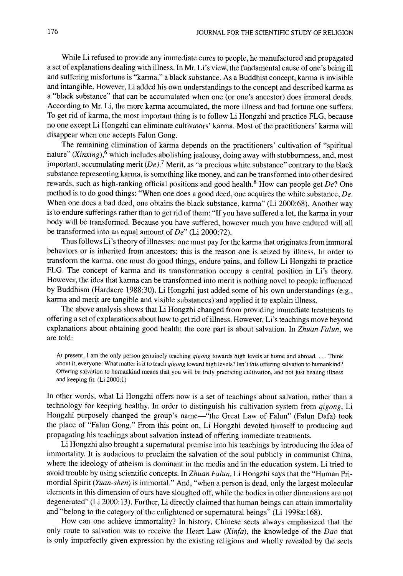**While Li refused to provide any immediate cures to people, he manufactured and propagated a set of explanations dealing with illness. In Mr. Li's view, the fundamental cause of one's being ill and suffering misfortune is "karma," a black substance. As a Buddhist concept, karma is invisible and intangible. However, Li added his own understandings to the concept and described karma as a "black substance" that can be accumulated when one (or one's ancestor) does immoral deeds. According to Mr. Li, the more karma accumulated, the more illness and bad fortune one suffers. To get rid of karma, the most important thing is to follow Li Hongzhi and practice FLG, because no one except Li Hongzhi can eliminate cultivators' karma. Most of the practitioners' karma will disappear when one accepts Falun Gong.** 

**The remaining elimination of karma depends on the practitioners' cultivation of "spiritual**  nature" (Xinxing),<sup>6</sup> which includes abolishing jealousy, doing away with stubbornness, and, most important, accumulating merit  $(De)$ .<sup>7</sup> Merit, as "a precious white substance" contrary to the black **substance representing karma, is something like money, and can be transformed into other desired rewards, such as high-ranking official positions and good health.8 How can people get De? One method is to do good things: "When one does a good deed, one acquires the white substance, De. When one does a bad deed, one obtains the black substance, karma" (Li 2000:68). Another way is to endure sufferings rather than to get rid of them: "If you have suffered a lot, the karma in your body will be transformed. Because you have suffered, however much you have endured will all be transformed into an equal amount of De" (Li 2000:72).** 

**Thus follows Li's theory of illnesses: one must pay for the karma that originates from immoral behaviors or is inherited from ancestors; this is the reason one is seized by illness. In order to transform the karma, one must do good things, endure pains, and follow Li Hongzhi to practice FLG. The concept of karma and its transformation occupy a central position in Li's theory. However, the idea that karma can be transformed into merit is nothing novel to people influenced by Buddhism (Hardacre 1988:30). Li Hongzhi just added some of his own understandings (e.g., karma and merit are tangible and visible substances) and applied it to explain illness.** 

**The above analysis shows that Li Hongzhi changed from providing immediate treatments to offering a set of explanations about how to get rid of illness. However, Li's teachings move beyond explanations about obtaining good health; the core part is about salvation. In Zhuan Falun, we are told:** 

**At present, I am the only person genuinely teaching qigong towards high levels at home and abroad.... Think about it, everyone: What matter is it to teach qigong toward high levels? Isn't this offering salvation to humankind? Offering salvation to humankind means that you will be truly practicing cultivation, and not just healing illness and keeping fit. (Li 2000:1)** 

**In other words, what Li Hongzhi offers now is a set of teachings about salvation, rather than a technology for keeping healthy. In order to distinguish his cultivation system from qigong, Li Hongzhi purposely changed the group's name-"the Great Law of Falun" (Falun Dafa) took the place of "Falun Gong." From this point on, Li Hongzhi devoted himself to producing and propagating his teachings about salvation instead of offering immediate treatments.** 

**Li Hongzhi also brought a supernatural premise into his teachings by introducing the idea of immortality. It is audacious to proclaim the salvation of the soul publicly in communist China, where the ideology of atheism is dominant in the media and in the education system. Li tried to avoid trouble by using scientific concepts. In Zhuan Falun, Li Hongzhi says that the "Human Primordial Spirit (Yuan-shen) is immortal." And, "when a person is dead, only the largest molecular elements in this dimension of ours have sloughed off, while the bodies in other dimensions are not degenerated" (Li 2000:13). Further, Li directly claimed that human beings can attain immortality and "belong to the category of the enlightened or supernatural beings" (Li 1998a: 168).** 

**How can one achieve immortality? In history, Chinese sects always emphasized that the only route to salvation was to receive the Heart Law (Xinfa), the knowledge of the Dao that is only imperfectly given expression by the existing religions and wholly revealed by the sects**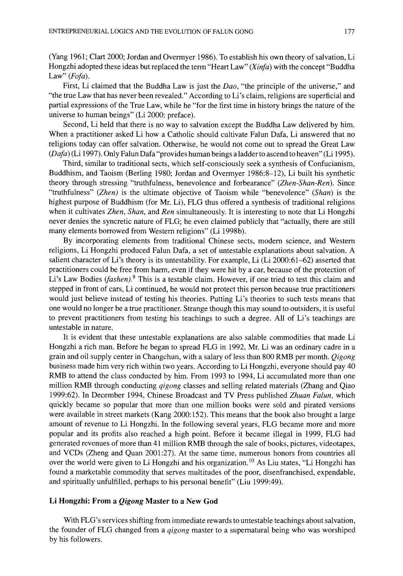**(Yang 1961; Clart 2000; Jordan and Overmyer 1986). To establish his own theory of salvation, Li Hongzhi adopted these ideas but replaced the term "Heart Law" (Xinfa) with the concept "Buddha**  Law" (Fofa).

First, Li claimed that the Buddha Law is just the *Dao*, "the principle of the universe," and **"the true Law that has never been revealed." According to Li's claim, religions are superficial and partial expressions of the True Law, while he "for the first time in history brings the nature of the universe to human beings" (Li 2000: preface).** 

**Second, Li held that there is no way to salvation except the Buddha Law delivered by him. When a practitioner asked Li how a Catholic should cultivate Falun Dafa, Li answered that no religions today can offer salvation. Otherwise, he would not come out to spread the Great Law (Dafa) (Li 1997). Only Falun Dafa "provides human beings a ladder to ascend to heaven" (Li 1995).** 

**Third, similar to traditional sects, which self-consciously seek a synthesis of Confucianism, Buddhism, and Taoism (Berling 1980; Jordan and Overmyer 1986:8-12), Li built his synthetic theory through stressing "truthfulness, benevolence and forbearance" (Zhen-Shan-Ren). Since "truthfulness" (Zhen) is the ultimate objective of Taoism while "benevolence" (Shan) is the highest purpose of Buddhism (for Mr. Li), FLG thus offered a synthesis of traditional religions when it cultivates Zhen, Shan, and Ren simultaneously. It is interesting to note that Li Hongzhi never denies the syncretic nature of FLG; he even claimed publicly that "actually, there are still many elements borrowed from Western religions" (Li 1998b).** 

By incorporating elements from traditional Chinese sects, modern science, and Western **religions, Li Hongzhi produced Falun Dafa, a set of untestable explanations about salvation. A salient character of Li's theory is its untestability. For example, Li (Li 2000:61-62) asserted that practitioners could be free from harm, even if they were hit by a car, because of the protection of**  Li's Law Bodies (*fashen*).<sup>9</sup> This is a testable claim. However, if one tried to test this claim and **stepped in front of cars, Li continued, he would not protect this person because true practitioners would just believe instead of testing his theories. Putting Li's theories to such tests means that one would no longer be a true practitioner. Strange though this may sound to outsiders, it is useful to prevent practitioners from testing his teachings to such a degree. All of Li's teachings are untestable in nature.** 

**It is evident that these untestable explanations are also salable commodities that made Li Hongzhi a rich man. Before he began to spread FLG in 1992, Mr. Li was an ordinary cadre in a grain and oil supply center in Changchun, with a salary of less than 800 RMB per month. Qigong business made him very rich within two years. According to Li Hongzhi, everyone should pay 40 RMB to attend the class conducted by him. From 1993 to 1994, Li accumulated more than one million RMB through conducting qigong classes and selling related materials (Zhang and Qiao 1999:62). In December 1994, Chinese Broadcast and TV Press published Zhuan Falun, which quickly became so popular that more than one million books were sold and pirated versions were available in street markets (Kang 2000:152). This means that the book also brought a large amount of revenue to Li Hongzhi. In the following several years, FLG became more and more popular and its profits also reached a high point. Before it became illegal in 1999, FLG had generated revenues of more than 41 million RMB through the sale of books, pictures, videotapes, and VCDs (Zheng and Quan 2001:27). At the same time, numerous honors from countries all over the world were given to Li Hongzhi and his organization.'0 As Liu states, "Li Hongzhi has found a marketable commodity that serves multitudes of the poor, disenfranchised, expendable, and spiritually unfulfilled, perhaps to his personal benefit" (Liu 1999:49).** 

## **Li Hongzhi: From a Qigong Master to a New God**

**With FLG's services shifting from immediate rewards to untestable teachings about salvation, the founder of FLG changed from a qigong master to a supernatural being who was worshiped by his followers.**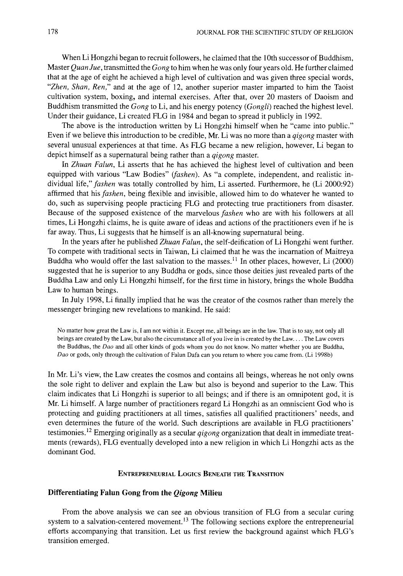**When Li Hongzhi began to recruit followers, he claimed that the 10th successor of Buddhism, Master Quan Jue, transmitted the Gong to him when he was only four years old. He further claimed that at the age of eight he achieved a high level of cultivation and was given three special words, "Zhen, Shan, Ren," and at the age of 12, another superior master imparted to him the Taoist cultivation system, boxing, and internal exercises. After that, over 20 masters of Daoism and Buddhism transmitted the Gong to Li, and his energy potency (Gongli) reached the highest level. Under their guidance, Li created FLG in 1984 and began to spread it publicly in 1992.** 

**The above is the introduction written by Li Hongzhi himself when he "came into public."**  Even if we believe this introduction to be credible, Mr. Li was no more than a *qigong* master with **several unusual experiences at that time. As FLG became a new religion, however, Li began to depict himself as a supernatural being rather than a qigong master.** 

**In Zhuan Falun, Li asserts that he has achieved the highest level of cultivation and been equipped with various "Law Bodies" (fashen). As "a complete, independent, and realistic individual life," fashen was totally controlled by him, Li asserted. Furthermore, he (Li 2000:92) affirmed that his fashen, being flexible and invisible, allowed him to do whatever he wanted to do, such as supervising people practicing FLG and protecting true practitioners from disaster. Because of the supposed existence of the marvelous fashen who are with his followers at all times, Li Hongzhi claims, he is quite aware of ideas and actions of the practitioners even if he is far away. Thus, Li suggests that he himself is an all-knowing supernatural being.** 

**In the years after he published Zhuan Falun, the self-deification of Li Hongzhi went further. To compete with traditional sects in Taiwan, Li claimed that he was the incarnation of Maitreya Buddha who would offer the last salvation to the masses.11 In other places, however, Li (2000) suggested that he is superior to any Buddha or gods, since those deities just revealed parts of the Buddha Law and only Li Hongzhi himself, for the first time in history, brings the whole Buddha Law to human beings.** 

**In July 1998, Li finally implied that he was the creator of the cosmos rather than merely the messenger bringing new revelations to mankind. He said:** 

**No matter how great the Law is, I am not within it. Except me, all beings are in the law. That is to say, not only all beings are created by the Law, but also the circumstance all of you live in is created by the Law.... The Law covers the Buddhas, the Dao and all other kinds of gods whom you do not know. No matter whether you are Buddha, Dao or gods, only through the cultivation of Falun Dafa can you return to where you came from. (Li 1998b)** 

**In Mr. Li's view, the Law creates the cosmos and contains all beings, whereas he not only owns the sole right to deliver and explain the Law but also is beyond and superior to the Law. This claim indicates that Li Hongzhi is superior to all beings; and if there is an omnipotent god, it is Mr. Li himself. A large number of practitioners regard Li Hongzhi as an omniscient God who is protecting and guiding practitioners at all times, satisfies all qualified practitioners' needs, and even determines the future of the world. Such descriptions are available in FLG practitioners' testimonies.12 Emerging originally as a secular qigong organization that dealt in immediate treatments (rewards), FLG eventually developed into a new religion in which Li Hongzhi acts as the dominant God.** 

### **ENTREPRENEURIAL LOGICS BENEATH THE TRANSITION**

#### **Differentiating Falun Gong from the Qigong Milieu**

**From the above analysis we can see an obvious transition of FLG from a secular curing**  system to a salvation-centered movement.<sup>13</sup> The following sections explore the entrepreneurial **efforts accompanying that transition. Let us first review the background against which FLG's transition emerged.**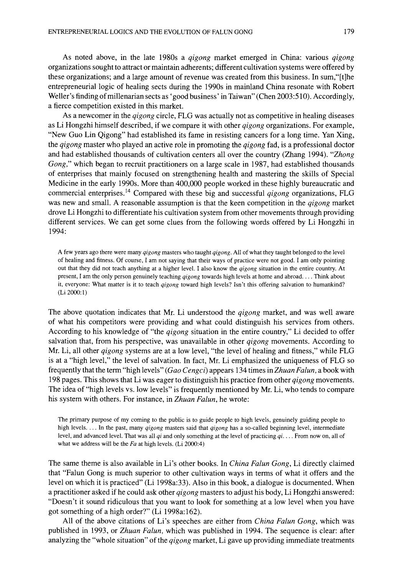**As noted above, in the late 1980s a qigong market emerged in China: various qigong organizations sought to attract or maintain adherents; different cultivation systems were offered by these organizations; and a large amount of revenue was created from this business. In sum,"[t]he entrepreneurial logic of healing sects during the 1990s in mainland China resonate with Robert Weller's finding of millenarian sects as 'good business' in Taiwan" (Chen 2003:510). Accordingly, a fierce competition existed in this market.** 

**As a newcomer in the qigong circle, FLG was actually not as competitive in healing diseases as Li Hongzhi himself described, if we compare it with other qigong organizations. For example, "New Guo Lin Qigong" had established its fame in resisting cancers for a long time. Yan Xing, the qigong master who played an active role in promoting the qigong fad, is a professional doctor and had established thousands of cultivation centers all over the country (Zhang 1994). "Zhong Gong," which began to recruit practitioners on a large scale in 1987, had established thousands of enterprises that mainly focused on strengthening health and mastering the skills of Special Medicine in the early 1990s. More than 400,000 people worked in these highly bureaucratic and commercial enterprises.'4 Compared with these big and successful qigong organizations, FLG**  was new and small. A reasonable assumption is that the keen competition in the *qigong* market **drove Li Hongzhi to differentiate his cultivation system from other movements through providing different services. We can get some clues from the following words offered by Li Hongzhi in 1994:** 

**A few years ago there were many qigong masters who taught qigong. All of what they taught belonged to the level of healing and fitness. Of course, I am not saying that their ways of practice were not good. I am only pointing out that they did not teach anything at a higher level. I also know the qigong situation in the entire country. At present, I am the only person genuinely teaching qigong towards high levels at home and abroad.... Think about it, everyone: What matter is it to teach qigong toward high levels? Isn't this offering salvation to humankind? (Li 2000:1)** 

**The above quotation indicates that Mr. Li understood the qigong market, and was well aware of what his competitors were providing and what could distinguish his services from others. According to his knowledge of "the qigong situation in the entire country," Li decided to offer salvation that, from his perspective, was unavailable in other qigong movements. According to Mr. Li, all other qigong systems are at a low level, "the level of healing and fitness," while FLG is at a "high level," the level of salvation. In fact, Mr. Li emphasized the uniqueness of FLG so frequently that the term "high levels" (Gao Cengci) appears 134 times in Zhuan Falun, a book with 198 pages. This shows that Li was eager to distinguish his practice from other qigong movements. The idea of "high levels vs. low levels" is frequently mentioned by Mr. Li, who tends to compare his system with others. For instance, in Zhuan Falun, he wrote:** 

**The primary purpose of my coming to the public is to guide people to high levels, genuinely guiding people to high levels. ... In the past, many qigong masters said that qigong has a so-called beginning level, intermediate**  level, and advanced level. That was all qi and only something at the level of practicing  $qi \dots$ . From now on, all of **what we address will be the Fa at high levels. (Li 2000:4)** 

**The same theme is also available in Li's other books. In China Falun Gong, Li directly claimed that "Falun Gong is much superior to other cultivation ways in terms of what it offers and the level on which it is practiced" (Li 1998a:33). Also in this book, a dialogue is documented. When a practitioner asked if he could ask other qigong masters to adjust his body, Li Hongzhi answered: "Doesn't it sound ridiculous that you want to look for something at a low level when you have got something of a high order?" (Li 1998a: 162).** 

**All of the above citations of Li's speeches are either from China Falun Gong, which was published in 1993, or Zhuan Falun, which was published in 1994. The sequence is clear: after analyzing the "whole situation" of the qigong market, Li gave up providing immediate treatments**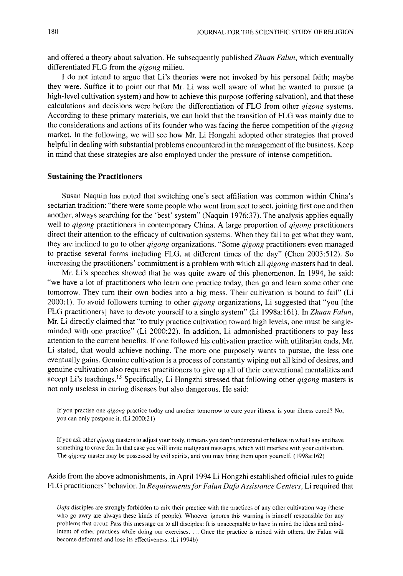**and offered a theory about salvation. He subsequently published Zhuan Falun, which eventually differentiated FLG from the qigong milieu.** 

**I do not intend to argue that Li's theories were not invoked by his personal faith; maybe they were. Suffice it to point out that Mr. Li was well aware of what he wanted to pursue (a high-level cultivation system) and how to achieve this purpose (offering salvation), and that these calculations and decisions were before the differentiation of FLG from other qigong systems. According to these primary materials, we can hold that the transition of FLG was mainly due to the considerations and actions of its founder who was facing the fierce competition of the qigong market. In the following, we will see how Mr. Li Hongzhi adopted other strategies that proved helpful in dealing with substantial problems encountered in the management of the business. Keep in mind that these strategies are also employed under the pressure of intense competition.** 

## **Sustaining the Practitioners**

**Susan Naquin has noted that switching one's sect affiliation was common within China's sectarian tradition: "there were some people who went from sect to sect, joining first one and then another, always searching for the 'best' system" (Naquin 1976:37). The analysis applies equally well to qigong practitioners in contemporary China. A large proportion of qigong practitioners direct their attention to the efficacy of cultivation systems. When they fail to get what they want, they are inclined to go to other qigong organizations. "Some qigong practitioners even managed to practise several forms including FLG, at different times of the day" (Chen 2003:512). So increasing the practitioners' commitment is a problem with which all qigong masters had to deal.** 

**Mr. Li's speeches showed that he was quite aware of this phenomenon. In 1994, he said: "we have a lot of practitioners who learn one practice today, then go and learn some other one tomorrow. They turn their own bodies into a big mess. Their cultivation is bound to fail" (Li 2000:1). To avoid followers turning to other qigong organizations, Li suggested that "you [the FLG practitioners] have to devote yourself to a single system" (Li 1998a: 161). In Zhuan Falun, Mr. Li directly claimed that "to truly practice cultivation toward high levels, one must be singleminded with one practice" (Li 2000:22). In addition, Li admonished practitioners to pay less attention to the current benefits. If one followed his cultivation practice with utilitarian ends, Mr. Li stated, that would achieve nothing. The more one purposely wants to pursue, the less one eventually gains. Genuine cultivation is a process of constantly wiping out all kind of desires, and genuine cultivation also requires practitioners to give up all of their conventional mentalities and accept Li's teachings.15 Specifically, Li Hongzhi stressed that following other qigong masters is not only useless in curing diseases but also dangerous. He said:** 

**If you practise one qigong practice today and another tomorrow to cure your illness, is your illness cured? No, you can only postpone it. (Li 2000:21)** 

**If you ask other qigong masters to adjust your body, it means you don't understand or believe in what I say and have something to crave for. In that case you will invite malignant messages, which will interfere with your cultivation. The qigong master may be possessed by evil spirits, and you may bring them upon yourself. (1998a: 162)** 

## **Aside from the above admonishments, in April 1994 Li Hongzhi established official rules to guide FLG practitioners' behavior. In Requirements for Falun Dafa Assistance Centers, Li required that**

**Dafa disciples are strongly forbidden to mix their practice with the practices of any other cultivation way (those who go awry are always these kinds of people). Whoever ignores this warning is himself responsible for any problems that occur. Pass this message on to all disciples: It is unacceptable to have in mind the ideas and mindintent of other practices while doing our exercises. ... Once the practice is mixed with others, the Falun will become deformed and lose its effectiveness. (Li 1994b)**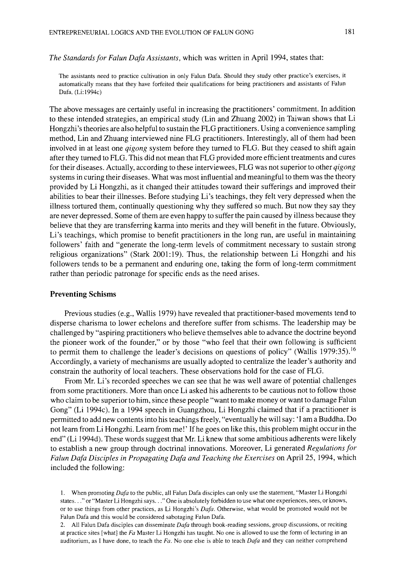**The Standards for Falun Dafa Assistants, which was written in April 1994, states that:** 

**The assistants need to practice cultivation in only Falun Dafa. Should they study other practice's exercises, it automatically means that they have forfeited their qualifications for being practitioners and assistants of Falun Dafa. (Li:1994c)** 

**The above messages are certainly useful in increasing the practitioners' commitment. In addition to these intended strategies, an empirical study (Lin and Zhuang 2002) in Taiwan shows that Li Hongzhi's theories are also helpful to sustain the FLG practitioners. Using a convenience sampling method, Lin and Zhuang interviewed nine FLG practitioners. Interestingly, all of them had been involved in at least one qigong system before they turned to FLG. But they ceased to shift again after they turned to FLG. This did not mean that FLG provided more efficient treatments and cures for their diseases. Actually, according to these interviewees, FLG was not superior to other qigong systems in curing their diseases. What was most influential and meaningful to them was the theory provided by Li Hongzhi, as it changed their attitudes toward their sufferings and improved their abilities to bear their illnesses. Before studying Li's teachings, they felt very depressed when the illness tortured them, continually questioning why they suffered so much. But now they say they are never depressed. Some of them are even happy to suffer the pain caused by illness because they believe that they are transferring karma into merits and they will benefit in the future. Obviously, Li's teachings, which promise to benefit practitioners in the long run, are useful in maintaining followers' faith and "generate the long-term levels of commitment necessary to sustain strong religious organizations" (Stark 2001:19). Thus, the relationship between Li Hongzhi and his followers tends to be a permanent and enduring one, taking the form of long-term commitment rather than periodic patronage for specific ends as the need arises.** 

## **Preventing Schisms**

**Previous studies (e.g., Wallis 1979) have revealed that practitioner-based movements tend to disperse charisma to lower echelons and therefore suffer from schisms. The leadership may be challenged by "aspiring practitioners who believe themselves able to advance the doctrine beyond the pioneer work of the founder," or by those "who feel that their own following is sufficient to permit them to challenge the leader's decisions on questions of policy" (Wallis 1979:35).16 Accordingly, a variety of mechanisms are usually adopted to centralize the leader's authority and constrain the authority of local teachers. These observations hold for the case of FLG.** 

**From Mr. Li's recorded speeches we can see that he was well aware of potential challenges from some practitioners. More than once Li asked his adherents to be cautious not to follow those who claim to be superior to him, since these people "want to make money or want to damage Falun Gong" (Li 1994c). In a 1994 speech in Guangzhou, Li Hongzhi claimed that if a practitioner is permitted to add new contents into his teachings freely, "eventually he will say: 'I am a Buddha. Do not learn from Li Hongzhi. Learn from me!' If he goes on like this, this problem might occur in the end" (Li 1994d). These words suggest that Mr. Li knew that some ambitious adherents were likely to establish a new group through doctrinal innovations. Moreover, Li generated Regulations for Falun Dafa Disciples in Propagating Dafa and Teaching the Exercises on April 25, 1994, which included the following:** 

**<sup>1.</sup> When promoting Dafa to the public, all Falun Dafa disciples can only use the statement, "Master Li Hongzhi states.. ." or "Master Li Hongzhi says.. ." One is absolutely forbidden to use what one experiences, sees, or knows, or to use things from other practices, as Li Hongzhi's Dafa. Otherwise, what would be promoted would not be Falun Dafa and this would be considered sabotaging Falun Dafa.** 

**<sup>2.</sup> All Falun Dafa disciples can disseminate Dafa through book-reading sessions, group discussions, or reciting at practice sites [what] the Fa Master Li Hongzhi has taught. No one is allowed to use the form of lecturing in an auditorium, as I have done, to teach the Fa. No one else is able to teach Dafa and they can neither comprehend**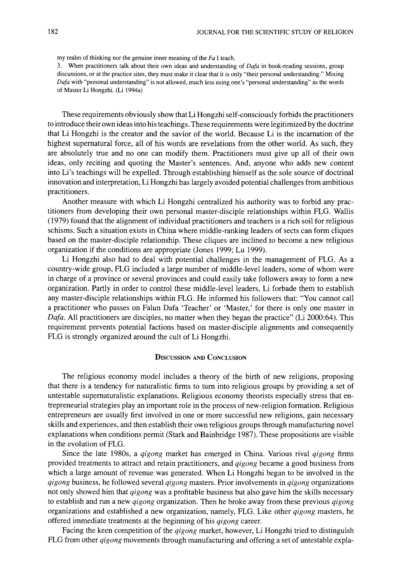**my realm of thinking nor the genuine inner meaning of the Fa I teach.** 

**3. When practitioners talk about their own ideas and understanding of Dafa in book-reading sessions, group discussions, or at the practice sites, they must make it clear that it is only "their personal understanding." Mixing Dafa with "personal understanding" is not allowed, much less using one's "personal understanding" as the words of Master Li Hongzhi. (Li 1994a)** 

**These requirements obviously show that Li Hongzhi self-consciously forbids the practitioners to introduce their own ideas into his teachings. These requirements were legitimized by the doctrine that Li Hongzhi is the creator and the savior of the world. Because Li is the incarnation of the highest supernatural force, all of his words are revelations from the other world. As such, they are absolutely true and no one can modify them. Practitioners must give up all of their own ideas, only reciting and quoting the Master's sentences. And, anyone who adds new content into Li's teachings will be expelled. Through establishing himself as the sole source of doctrinal innovation and interpretation, Li Hongzhi has largely avoided potential challenges from ambitious practitioners.** 

**Another measure with which Li Hongzhi centralized his authority was to forbid any practitioners from developing their own personal master-disciple relationships within FLG. Wallis (1979) found that the alignment of individual practitioners and teachers is a rich soil for religious schisms. Such a situation exists in China where middle-ranking leaders of sects can form cliques based on the master-disciple relationship. These cliques are inclined to become a new religious organization if the conditions are appropriate (Jones 1999; Lu 1999).** 

**Li Hongzhi also had to deal with potential challenges in the management of FLG. As a country-wide group, FLG included a large number of middle-level leaders, some of whom were in charge of a province or several provinces and could easily take followers away to form a new organization. Partly in order to control these middle-level leaders, Li forbade them to establish any master-disciple relationships within FLG. He informed his followers that: "You cannot call a practitioner who passes on Falun Dafa 'Teacher' or 'Master,' for there is only one master in Dafa. All practitioners are disciples, no matter when they began the practice" (Li 2000:64). This requirement prevents potential factions based on master-disciple alignments and consequently FLG is strongly organized around the cult of Li Hongzhi.** 

#### **DISCUSSION AND CONCLUSION**

**The religious economy model includes a theory of the birth of new religions, proposing that there is a tendency for naturalistic firms to turn into religious groups by providing a set of untestable supernaturalistic explanations. Religious economy theorists especially stress that entrepreneurial strategies play an important role in the process of new-religion formation. Religious entrepreneurs are usually first involved in one or more successful new religions, gain necessary skills and experiences, and then establish their own religious groups through manufacturing novel explanations when conditions permit (Stark and Bainbridge 1987). These propositions are visible in the evolution of FLG.** 

**Since the late 1980s, a qigong market has emerged in China. Various rival qigong firms provided treatments to attract and retain practitioners, and qigong became a good business from which a large amount of revenue was generated. When Li Hongzhi began to be involved in the qigong business, he followed several qigong masters. Prior involvements in qigong organizations not only showed him that qigong was a profitable business but also gave him the skills necessary to establish and run a new qigong organization. Then he broke away from these previous qigong organizations and established a new organization, namely, FLG. Like other qigong masters, he offered immediate treatments at the beginning of his qigong career.** 

**Facing the keen competition of the qigong market, however, Li Hongzhi tried to distinguish FLG from other qigong movements through manufacturing and offering a set of untestable expla-**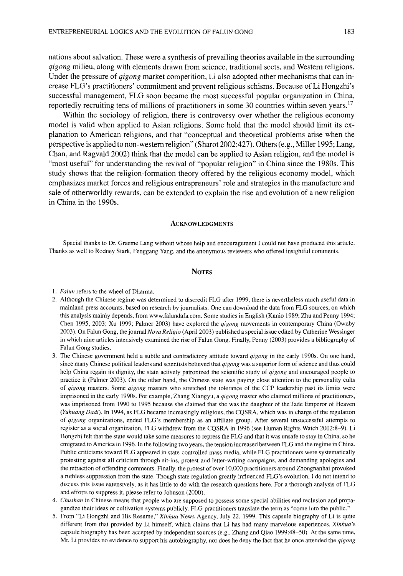**nations about salvation. These were a synthesis of prevailing theories available in the surrounding qigong milieu, along with elements drawn from science, traditional sects, and Western religions.**  Under the pressure of *gigong* market competition, Li also adopted other mechanisms that can in**crease FLG's practitioners' commitment and prevent religious schisms. Because of Li Hongzhi's successful management, FLG soon became the most successful popular organization in China, reportedly recruiting tens of millions of practitioners in some 30 countries within seven years.17** 

**Within the sociology of religion, there is controversy over whether the religious economy model is valid when applied to Asian religions. Some hold that the model should limit its explanation to American religions, and that "conceptual and theoretical problems arise when the perspective is applied to non-western religion" (Sharot 2002:427). Others (e.g., Miller 1995; Lang, Chan, and Ragvald 2002) think that the model can be applied to Asian religion, and the model is "most useful" for understanding the revival of "popular religion" in China since the 1980s. This study shows that the religion-formation theory offered by the religious economy model, which emphasizes market forces and religious entrepreneurs' role and strategies in the manufacture and sale of otherworldly rewards, can be extended to explain the rise and evolution of a new religion in China in the 1990s.** 

#### **ACKNOWLEDGMENTS**

**Special thanks to Dr. Graeme Lang without whose help and encouragement I could not have produced this article. Thanks as well to Rodney Stark, Fenggang Yang, and the anonymous reviewers who offered insightful comments.** 

#### **NOTES**

- **1. Falun refers to the wheel of Dharma.**
- **2. Although the Chinese regime was determined to discredit FLG after 1999, there is nevertheless much useful data in mainland press accounts, based on research by journalists. One can download the data from FLG sources, on which this analysis mainly depends, from www.falundafa.com. Some studies in English (Kunio 1989; Zhu and Penny 1994; Chen 1995, 2003; Xu 1999; Palmer 2003) have explored the qigong movements in contemporary China (Ownby 2003). On Falun Gong, the journal Nova Religio (April 2003) published a special issue edited by Catherine Wessinger in which nine articles intensively examined the rise of Falun Gong. Finally, Penny (2003) provides a bibliography of Falun Gong studies.**
- **3. The Chinese government held a subtle and contradictory attitude toward qigong in the early 1990s. On one hand, since many Chinese political leaders and scientists believed that qigong was a superior form of science and thus could help China regain its dignity, the state actively patronized the scientific study of qigong and encouraged people to practice it (Palmer 2003). On the other hand, the Chinese state was paying close attention to the personality cults of qigong masters. Some qigong masters who stretched the tolerance of the CCP leadership past its limits were imprisoned in the early 1990s. For example, Zhang Xiangyu, a qigong master who claimed millions of practitioners, was imprisoned from 1990 to 1995 because she claimed that she was the daughter of the' Jade Emperor of Heaven (Yuhuang Dadi). In 1994, as FLG became increasingly religious, the CQSRA, which was in charge of the regulation of qigong organizations, ended FLG's membership as an affiliate group. After several unsuccessful attempts to register as a social organization, FLG withdrew from the CQSRA in 1996 (see Human Rights Watch 2002:8-9). Li Hongzhi felt that the state would take some measures to repress the FLG and that it was unsafe to stay in China, so he emigrated to America in 1996. In the following two years, the tension increased between FLG and the regime in China. Public criticisms toward FLG appeared in state-controlled mass media, while FLG practitioners were systematically protesting against all criticism through sit-ins, protest and letter-writing campaigns, and demanding apologies and the retraction of offending comments. Finally, the protest of over 10,000 practitioners around Zhongnanhai provoked a ruthless suppression from the state. Though state regulation greatly influenced FLG's evolution, I do not intend to discuss this issue extensively, as it has little to do with the research questions here. For a thorough analysis of FLG and efforts to suppress it, please refer to Johnson (2000).**
- **4. Chushan in Chinese means that people who are supposed to possess some special abilities end reclusion and propagandize their ideas or cultivation systems publicly. FLG practitioners translate the term as "come into the public."**
- **5. From "Li Hongzhi and His Resume," Xinhua News Agency, July 22, 1999. This capsule biography of Li is quite different from that provided by Li himself, which claims that Li has had many marvelous experiences. Xinhua's capsule biography has been accepted by independent sources (e.g., Zhang and Qiao 1999:48-50). At the same time, Mr. Li provides no evidence to support his autobiography, nor does he deny the fact that he once attended the qigong**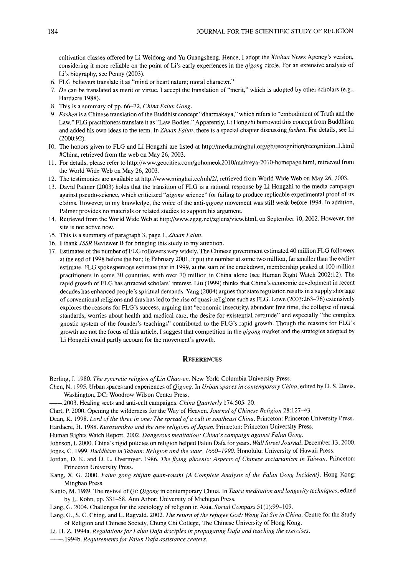**cultivation classes offered by Li Weidong and Yu Guangsheng. Hence, I adopt the Xinhua News Agency's version, considering it more reliable on the point of Li's early experiences in the qigong circle. For an extensive analysis of Li's biography, see Penny (2003).** 

- **6. FLG believers translate it as "mind or heart nature; moral character."**
- **7. De can be translated as merit or virtue. I accept the translation of "merit," which is adopted by other scholars (e.g., Hardacre 1988).**
- **8. This is a summary of pp. 66-72, China Falun Gong.**
- **9. Fashen is a Chinese translation of the Buddhist concept "dharmakaya," which refers to "embodiment of Truth and the Law." FLG practitioners translate it as "Law Bodies." Apparently, Li Hongzhi borrowed this concept from Buddhism and added his own ideas to the term. In Zhuan Falun, there is a special chapter discussingfashen. For details, see Li (2000:92).**
- **10. The honors given to FLG and Li Hongzhi are listed at http://media.minghui.org/gb/recognition/recognition l.html #China, retrieved from the web on May 26, 2003.**
- **11. For details, please refer to http://www.geocities.com/gohomeok2010/maitreya-2010-homepage.html, retrieved from the World Wide Web on May 26, 2003.**
- **12. The testimonies are available at http://www.minghui.cc/mh/2/, retrieved from World Wide Web on May 26, 2003.**
- **13. David Palmer (2003) holds that the transition of FLG is a rational response by Li Hongzhi to the media campaign against pseudo-science, which criticized "qigong science" for failing to produce replicable experimental proof of its claims. However, to my knowledge, the voice of the anti-qigong movement was still weak before 1994. In addition, Palmer provides no materials or related studies to support his argument.**
- **14. Retrieved from the World Wide Web at http://www.zgzg.net/zglens/view.html, on September 10, 2002. However, the site is not active now.**
- **15. This is a summary of paragraph 3, page 1, Zhuan Falun.**
- **16. I thank JSSR Reviewer B for bringing this study to my attention.**
- **17. Estimates of the number of FLG followers vary widely. The Chinese government estimated 40 million FLG followers at the end of 1998 before the ban; in February 2001, it put the number at some two million, far smaller than the earlier estimate. FLG spokespersons estimate that in 1999, at the start of the crackdown, membership peaked at 100 million practitioners in some 30 countries, with over 70 million in China alone (see Human Right Watch 2002:12). The rapid growth of FLG has attracted scholars' interest. Liu (1999) thinks that China's economic development in recent decades has enhanced people's spiritual demands. Yang (2004) argues that state regulation results in a supply shortage of conventional religions and thus has led to the rise of quasi-religions such as FLG. Lowe (2003:263-76) extensively explores the reasons for FLG's success, arguing that "economic insecurity, abundant free time, the collapse of moral standards, worries about health and medical care, the desire for existential certitude" and especially "the complex gnostic system of the founder's teachings" contributed to the FLG's rapid growth. Though the reasons for FLG's growth are not the focus of this article, I suggest that competition in the qigong market and the strategies adopted by Li Hongzhi could partly account for the movement's growth.**

#### **REFERENCES**

Berling, J. 1980. The syncretic religion of Lin Chao-en. New York: Columbia University Press.

**Chen, N. 1995. Urban spaces and experiences of Qigong. In Urban spaces in contemporary China, edited by D. S. Davis. Washington, DC: Woodrow Wilson Center Press.** 

**- .2003. Healing sects and anti-cult campaigns. China Quarterly 174:505-20.** 

**Clart, P. 2000. Opening the wilderness for the Way of Heaven. Journal of Chinese Religion 28:127-43.** 

**Dean, K. 1998. Lord of the three in one: The spread of a cult in southeast China. Princeton: Princeton University Press.** 

**Hardacre, H. 1988. Kurozumikyo and the new religions of Japan. Princeton: Princeton University Press.** 

**Human Rights Watch Report. 2002. Dangerous meditation: China's campaign against Falun Gong.** 

- **Johnson, I. 2000. China's rigid policies on religion helped Falun Dafa for years. Wall Street Journal, December 13, 2000. Jones, C. 1999. Buddhism in Taiwan: Religion and the state, 1660-1990. Honolulu: University of Hawaii Press.**
- **Jordan, D. K. and D. L. Overmyer. 1986. The flying phoenix: Aspects of Chinese sectarianism in Taiwan. Princeton: Princeton University Press.**
- **Kang, X. G. 2000. Falun gong shijian quan-toushi [A Complete Analysis of the Falun Gong Incident]. Hong Kong: Mingbao Press.**
- **Kunio, M. 1989. The revival of Qi: Qigong in contemporary China. In Taoist meditation and longevity techniques, edited by L. Kohn, pp. 331-58. Ann Arbor: University of Michigan Press.**
- **Lang, G. 2004. Challenges for the sociology of religion in Asia. Social Compass 51(1):99-109.**
- **Lang, G., S. C. Ching, and L. Ragvald. 2002. The return of the refugee God: Wong Tai Sin in China. Centre for the Study of Religion and Chinese Society, Chung Chi College, The Chinese University of Hong Kong.**
- **Li, H. Z. 1994a. Regulationsfor Falun Dafa disciples in propagating Dafa and teaching the exercises.**
- **.1994b. Requirements for Falun Dafa assistance centers.**